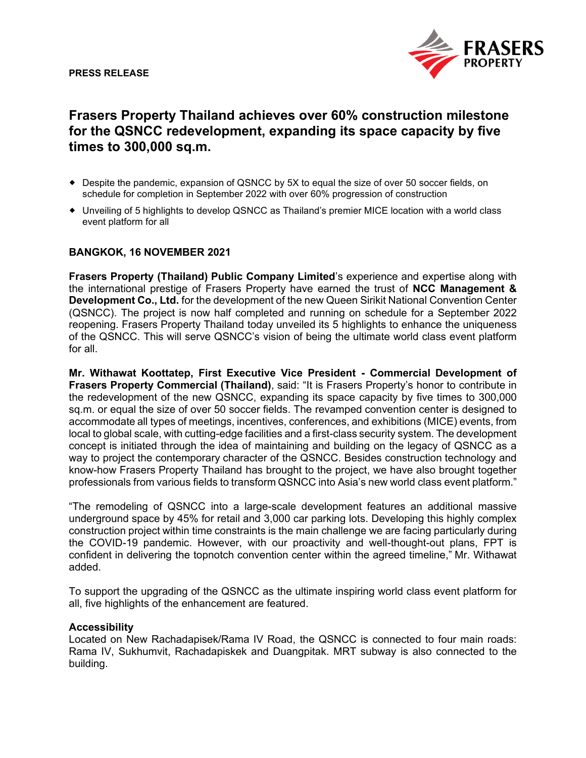

# **Frasers Property Thailand achieves over 60% construction milestone for the QSNCC redevelopment, expanding its space capacity by five times to 300,000 sq.m.**

- Despite the pandemic, expansion of QSNCC by 5X to equal the size of over 50 soccer fields, on schedule for completion in September 2022 with over 60% progression of construction
- Unveiling of 5 highlights to develop QSNCC as Thailand's premier MICE location with a world class event platform for all

# **BANGKOK, 16 NOVEMBER 2021**

**Frasers Property (Thailand) Public Company Limited**'s experience and expertise along with the international prestige of Frasers Property have earned the trust of **NCC Management & Development Co., Ltd.** for the development of the new Queen Sirikit National Convention Center (QSNCC). The project is now half completed and running on schedule for a September 2022 reopening. Frasers Property Thailand today unveiled its 5 highlights to enhance the uniqueness of the QSNCC. This will serve QSNCC's vision of being the ultimate world class event platform for all.

**Mr. Withawat Koottatep, First Executive Vice President - Commercial Development of Frasers Property Commercial (Thailand)**, said: "It is Frasers Property's honor to contribute in the redevelopment of the new QSNCC, expanding its space capacity by five times to 300,000 sq.m. or equal the size of over 50 soccer fields. The revamped convention center is designed to accommodate all types of meetings, incentives, conferences, and exhibitions (MICE) events, from local to global scale, with cutting-edge facilities and a first-class security system. The development concept is initiated through the idea of maintaining and building on the legacy of QSNCC as a way to project the contemporary character of the QSNCC. Besides construction technology and know-how Frasers Property Thailand has brought to the project, we have also brought together professionals from various fields to transform QSNCC into Asia's new world class event platform."

"The remodeling of QSNCC into a large-scale development features an additional massive underground space by 45% for retail and 3,000 car parking lots. Developing this highly complex construction project within time constraints is the main challenge we are facing particularly during the COVID-19 pandemic. However, with our proactivity and well-thought-out plans, FPT is confident in delivering the topnotch convention center within the agreed timeline," Mr. Withawat added.

To support the upgrading of the QSNCC as the ultimate inspiring world class event platform for all, five highlights of the enhancement are featured.

### **Accessibility**

Located on New Rachadapisek/Rama IV Road, the QSNCC is connected to four main roads: Rama IV, Sukhumvit, Rachadapiskek and Duangpitak. MRT subway is also connected to the building.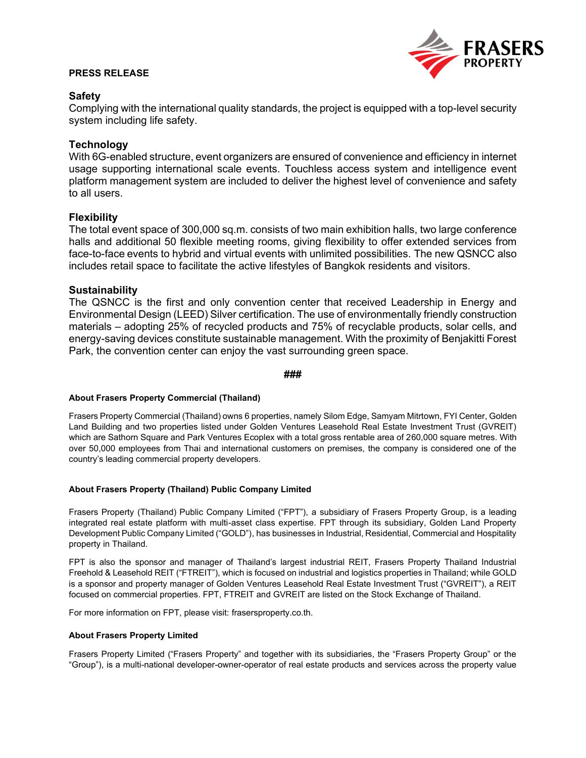## **PRESS RELEASE**



# **Safety**

Complying with the international quality standards, the project is equipped with a top-level security system including life safety.

# **Technology**

With 6G-enabled structure, event organizers are ensured of convenience and efficiency in internet usage supporting international scale events. Touchless access system and intelligence event platform management system are included to deliver the highest level of convenience and safety to all users.

## **Flexibility**

The total event space of 300,000 sq.m. consists of two main exhibition halls, two large conference halls and additional 50 flexible meeting rooms, giving flexibility to offer extended services from face-to-face events to hybrid and virtual events with unlimited possibilities. The new QSNCC also includes retail space to facilitate the active lifestyles of Bangkok residents and visitors.

## **Sustainability**

The QSNCC is the first and only convention center that received Leadership in Energy and Environmental Design (LEED) Silver certification. The use of environmentally friendly construction materials – adopting 25% of recycled products and 75% of recyclable products, solar cells, and energy-saving devices constitute sustainable management. With the proximity of Benjakitti Forest Park, the convention center can enjoy the vast surrounding green space.

#### **###**

### **About Frasers Property Commercial (Thailand)**

Frasers Property Commercial (Thailand) owns 6 properties, namely Silom Edge, Samyam Mitrtown, FYI Center, Golden Land Building and two properties listed under Golden Ventures Leasehold Real Estate Investment Trust (GVREIT) which are Sathorn Square and Park Ventures Ecoplex with a total gross rentable area of 260,000 square metres. With over 50,000 employees from Thai and international customers on premises, the company is considered one of the country's leading commercial property developers.

#### **About Frasers Property (Thailand) Public Company Limited**

Frasers Property (Thailand) Public Company Limited ("FPT"), a subsidiary of Frasers Property Group, is a leading integrated real estate platform with multi-asset class expertise. FPT through its subsidiary, Golden Land Property Development Public Company Limited ("GOLD"), has businesses in Industrial, Residential, Commercial and Hospitality property in Thailand.

FPT is also the sponsor and manager of Thailand's largest industrial REIT, Frasers Property Thailand Industrial Freehold & Leasehold REIT ("FTREIT"), which is focused on industrial and logistics properties in Thailand; while GOLD is a sponsor and property manager of Golden Ventures Leasehold Real Estate Investment Trust ("GVREIT"), a REIT focused on commercial properties. FPT, FTREIT and GVREIT are listed on the Stock Exchange of Thailand.

For more information on FPT, please visit: frasersproperty.co.th.

#### **About Frasers Property Limited**

Frasers Property Limited ("Frasers Property" and together with its subsidiaries, the "Frasers Property Group" or the "Group"), is a multi-national developer-owner-operator of real estate products and services across the property value